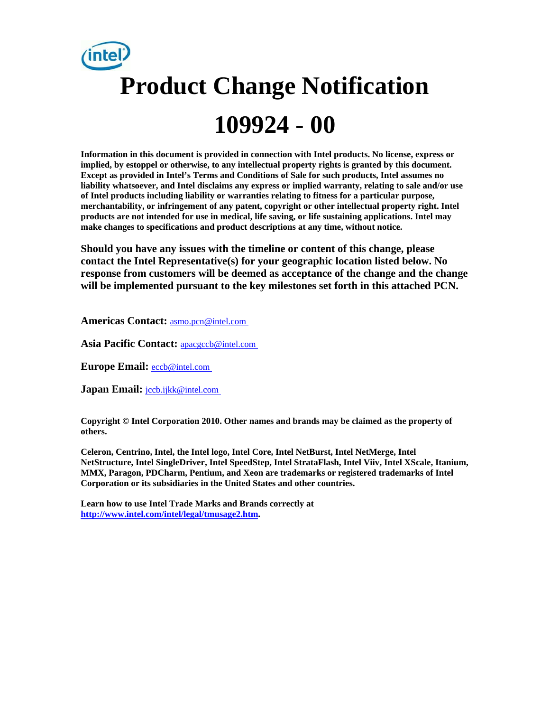# **Product Change Notification 109924 - 00**

**Information in this document is provided in connection with Intel products. No license, express or implied, by estoppel or otherwise, to any intellectual property rights is granted by this document. Except as provided in Intel's Terms and Conditions of Sale for such products, Intel assumes no liability whatsoever, and Intel disclaims any express or implied warranty, relating to sale and/or use of Intel products including liability or warranties relating to fitness for a particular purpose, merchantability, or infringement of any patent, copyright or other intellectual property right. Intel products are not intended for use in medical, life saving, or life sustaining applications. Intel may make changes to specifications and product descriptions at any time, without notice.** 

**Should you have any issues with the timeline or content of this change, please contact the Intel Representative(s) for your geographic location listed below. No response from customers will be deemed as acceptance of the change and the change will be implemented pursuant to the key milestones set forth in this attached PCN.** 

**Americas Contact:** [asmo.pcn@intel.com](mailto:asmo.pcn@intel.com) 

**Asia Pacific Contact:** [apacgccb@intel.com](mailto:apacgccb@intel.com) 

**Europe Email:** [eccb@intel.com](mailto:eccb@intel.com) 

Japan Email: **jccb.ijkk@intel.com** 

**Copyright © Intel Corporation 2010. Other names and brands may be claimed as the property of others.**

**Celeron, Centrino, Intel, the Intel logo, Intel Core, Intel NetBurst, Intel NetMerge, Intel NetStructure, Intel SingleDriver, Intel SpeedStep, Intel StrataFlash, Intel Viiv, Intel XScale, Itanium, MMX, Paragon, PDCharm, Pentium, and Xeon are trademarks or registered trademarks of Intel Corporation or its subsidiaries in the United States and other countries.** 

**Learn how to use Intel Trade Marks and Brands correctly at [http://www.intel.com/intel/legal/tmusage2.htm.](http://www.intel.com/intel/legal/tmusage2.htm)**